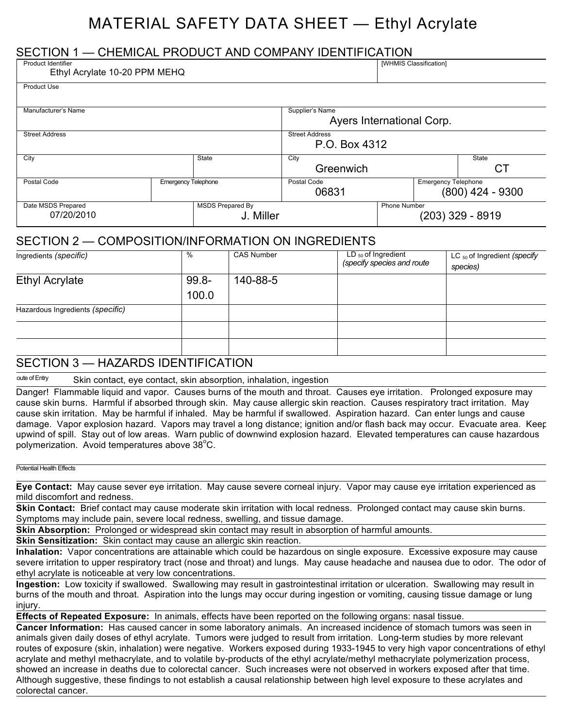# MATERIAL SAFETY DATA SHEET — Ethyl Acrylate

## SECTION 1 — CHEMICAL PRODUCT AND COMPANY IDENTIFICATION

| Product Identifier<br>Ethyl Acrylate 10-20 PPM MEHQ |                            |                                        |                                              |                     | [WHMIS Classification]     |                    |
|-----------------------------------------------------|----------------------------|----------------------------------------|----------------------------------------------|---------------------|----------------------------|--------------------|
| <b>Product Use</b>                                  |                            |                                        |                                              |                     |                            |                    |
| Manufacturer's Name                                 |                            |                                        | Supplier's Name<br>Ayers International Corp. |                     |                            |                    |
| <b>Street Address</b>                               |                            | <b>Street Address</b><br>P.O. Box 4312 |                                              |                     |                            |                    |
| City                                                |                            | State                                  | City<br>Greenwich                            |                     |                            | State<br>СT        |
| Postal Code                                         | <b>Emergency Telephone</b> |                                        | Postal Code<br>06831                         |                     | <b>Emergency Telephone</b> | $(800)$ 424 - 9300 |
| Date MSDS Prepared<br>07/20/2010                    |                            | <b>MSDS Prepared By</b><br>J. Miller   |                                              | <b>Phone Number</b> |                            | $(203)$ 329 - 8919 |

## SECTION 2 — COMPOSITION/INFORMATION ON INGREDIENTS

| Ingredients (specific)           | %        | <b>CAS Number</b> | LD $_{50}$ of Ingredient   | LC $_{50}$ of Ingredient (specify |
|----------------------------------|----------|-------------------|----------------------------|-----------------------------------|
|                                  |          |                   | (specify species and route | species)                          |
| <b>Ethyl Acrylate</b>            | $99.8 -$ | 140-88-5          |                            |                                   |
|                                  | 100.0    |                   |                            |                                   |
| Hazardous Ingredients (specific) |          |                   |                            |                                   |
|                                  |          |                   |                            |                                   |
|                                  |          |                   |                            |                                   |
|                                  |          |                   |                            |                                   |

### SECTION 3 — HAZARDS IDENTIFICATION

oute of Entry Skin contact, eye contact, skin absorption, inhalation, ingestion

Danger! Flammable liquid and vapor. Causes burns of the mouth and throat. Causes eye irritation. Prolonged exposure may cause skin burns. Harmful if absorbed through skin. May cause allergic skin reaction. Causes respiratory tract irritation. May cause skin irritation. May be harmful if inhaled. May be harmful if swallowed. Aspiration hazard. Can enter lungs and cause damage. Vapor explosion hazard. Vapors may travel a long distance; ignition and/or flash back may occur. Evacuate area. Keep upwind of spill. Stay out of low areas. Warn public of downwind explosion hazard. Elevated temperatures can cause hazardous polymerization. Avoid temperatures above 38°C.

#### Potential Health Effects

**Eye Contact:** May cause sever eye irritation. May cause severe corneal injury. Vapor may cause eye irritation experienced as mild discomfort and redness.

**Skin Contact:** Brief contact may cause moderate skin irritation with local redness. Prolonged contact may cause skin burns. Symptoms may include pain, severe local redness, swelling, and tissue damage.

**Skin Absorption:** Prolonged or widespread skin contact may result in absorption of harmful amounts.

**Skin Sensitization:** Skin contact may cause an allergic skin reaction.

**Inhalation:** Vapor concentrations are attainable which could be hazardous on single exposure. Excessive exposure may cause severe irritation to upper respiratory tract (nose and throat) and lungs. May cause headache and nausea due to odor. The odor of ethyl acrylate is noticeable at very low concentrations.

**Ingestion:** Low toxicity if swallowed. Swallowing may result in gastrointestinal irritation or ulceration. Swallowing may result in burns of the mouth and throat. Aspiration into the lungs may occur during ingestion or vomiting, causing tissue damage or lung injury.

**Effects of Repeated Exposure:** In animals, effects have been reported on the following organs: nasal tissue.

**Cancer Information:** Has caused cancer in some laboratory animals. An increased incidence of stomach tumors was seen in animals given daily doses of ethyl acrylate. Tumors were judged to result from irritation. Long-term studies by more relevant routes of exposure (skin, inhalation) were negative. Workers exposed during 1933-1945 to very high vapor concentrations of ethyl acrylate and methyl methacrylate, and to volatile by-products of the ethyl acrylate/methyl methacrylate polymerization process, showed an increase in deaths due to colorectal cancer. Such increases were not observed in workers exposed after that time. Although suggestive, these findings to not establish a causal relationship between high level exposure to these acrylates and colorectal cancer.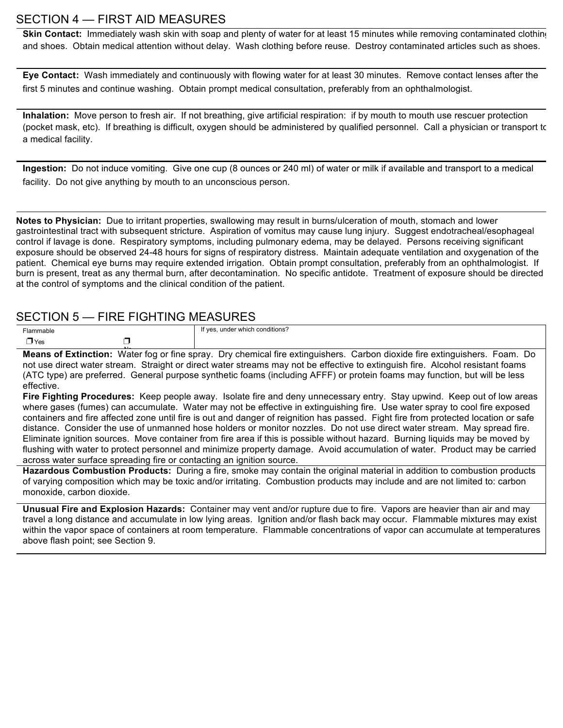### SECTION 4 — FIRST AID MEASURES

**Skin Contact:** Immediately wash skin with soap and plenty of water for at least 15 minutes while removing contaminated clothing and shoes. Obtain medical attention without delay. Wash clothing before reuse. Destroy contaminated articles such as shoes.

**Eye Contact:** Wash immediately and continuously with flowing water for at least 30 minutes. Remove contact lenses after the first 5 minutes and continue washing. Obtain prompt medical consultation, preferably from an ophthalmologist.

**Inhalation:** Move person to fresh air. If not breathing, give artificial respiration: if by mouth to mouth use rescuer protection (pocket mask, etc). If breathing is difficult, oxygen should be administered by qualified personnel. Call a physician or transport to a medical facility.

**Ingestion:** Do not induce vomiting. Give one cup (8 ounces or 240 ml) of water or milk if available and transport to a medical facility. Do not give anything by mouth to an unconscious person.

**Notes to Physician:** Due to irritant properties, swallowing may result in burns/ulceration of mouth, stomach and lower gastrointestinal tract with subsequent stricture. Aspiration of vomitus may cause lung injury. Suggest endotracheal/esophageal control if lavage is done. Respiratory symptoms, including pulmonary edema, may be delayed. Persons receiving significant exposure should be observed 24-48 hours for signs of respiratory distress. Maintain adequate ventilation and oxygenation of the patient. Chemical eye burns may require extended irrigation. Obtain prompt consultation, preferably from an ophthalmologist. If burn is present, treat as any thermal burn, after decontamination. No specific antidote. Treatment of exposure should be directed at the control of symptoms and the clinical condition of the patient.

### SECTION 5 — FIRE FIGHTING MEASURES

| Flammable  |   | If yes, under which conditions? |
|------------|---|---------------------------------|
| $\Box$ Yes | _ |                                 |

**Means of Extinction:** Water fog or fine spray. Dry chemical fire extinguishers. Carbon dioxide fire extinguishers. Foam. Do not use direct water stream. Straight or direct water streams may not be effective to extinguish fire. Alcohol resistant foams (ATC type) are preferred. General purpose synthetic foams (including AFFF) or protein foams may function, but will be less effective.

**Fire Fighting Procedures:** Keep people away. Isolate fire and deny unnecessary entry. Stay upwind. Keep out of low areas where gases (fumes) can accumulate. Water may not be effective in extinguishing fire. Use water spray to cool fire exposed containers and fire affected zone until fire is out and danger of reignition has passed. Fight fire from protected location or safe distance. Consider the use of unmanned hose holders or monitor nozzles. Do not use direct water stream. May spread fire. Eliminate ignition sources. Move container from fire area if this is possible without hazard. Burning liquids may be moved by flushing with water to protect personnel and minimize property damage. Avoid accumulation of water. Product may be carried across water surface spreading fire or contacting an ignition source.

**Hazardous Combustion Products:** During a fire, smoke may contain the original material in addition to combustion products of varying composition which may be toxic and/or irritating. Combustion products may include and are not limited to: carbon monoxide, carbon dioxide.

**Unusual Fire and Explosion Hazards:** Container may vent and/or rupture due to fire. Vapors are heavier than air and may travel a long distance and accumulate in low lying areas. Ignition and/or flash back may occur. Flammable mixtures may exist within the vapor space of containers at room temperature. Flammable concentrations of vapor can accumulate at temperatures above flash point; see Section 9.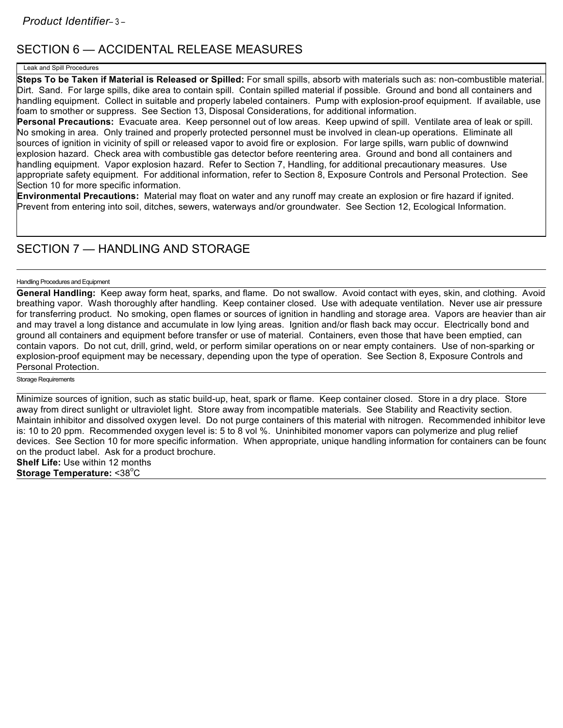## SECTION 6 — ACCIDENTAL RELEASE MEASURES

#### Leak and Spill Procedures

**Steps To be Taken if Material is Released or Spilled:** For small spills, absorb with materials such as: non-combustible material. Dirt. Sand. For large spills, dike area to contain spill. Contain spilled material if possible. Ground and bond all containers and handling equipment. Collect in suitable and properly labeled containers. Pump with explosion-proof equipment. If available, use foam to smother or suppress. See Section 13, Disposal Considerations, for additional information.

**Personal Precautions:** Evacuate area. Keep personnel out of low areas. Keep upwind of spill. Ventilate area of leak or spill. No smoking in area. Only trained and properly protected personnel must be involved in clean-up operations. Eliminate all sources of ignition in vicinity of spill or released vapor to avoid fire or explosion. For large spills, warn public of downwind explosion hazard. Check area with combustible gas detector before reentering area. Ground and bond all containers and handling equipment. Vapor explosion hazard. Refer to Section 7, Handling, for additional precautionary measures. Use appropriate safety equipment. For additional information, refer to Section 8, Exposure Controls and Personal Protection. See Section 10 for more specific information.

**Environmental Precautions:** Material may float on water and any runoff may create an explosion or fire hazard if ignited. Prevent from entering into soil, ditches, sewers, waterways and/or groundwater. See Section 12, Ecological Information.

## SECTION 7 - HANDLING AND STORAGE

#### Handling Procedures and Equipment

**General Handling:** Keep away form heat, sparks, and flame. Do not swallow. Avoid contact with eyes, skin, and clothing. Avoid breathing vapor. Wash thoroughly after handling. Keep container closed. Use with adequate ventilation. Never use air pressure for transferring product. No smoking, open flames or sources of ignition in handling and storage area. Vapors are heavier than air and may travel a long distance and accumulate in low lying areas. Ignition and/or flash back may occur. Electrically bond and ground all containers and equipment before transfer or use of material. Containers, even those that have been emptied, can contain vapors. Do not cut, drill, grind, weld, or perform similar operations on or near empty containers. Use of non-sparking or explosion-proof equipment may be necessary, depending upon the type of operation. See Section 8, Exposure Controls and Personal Protection.

### Storage Requirements

Minimize sources of ignition, such as static build-up, heat, spark or flame. Keep container closed. Store in a dry place. Store away from direct sunlight or ultraviolet light. Store away from incompatible materials. See Stability and Reactivity section. Maintain inhibitor and dissolved oxygen level. Do not purge containers of this material with nitrogen. Recommended inhibitor level is: 10 to 20 ppm. Recommended oxygen level is: 5 to 8 vol %. Uninhibited monomer vapors can polymerize and plug relief devices. See Section 10 for more specific information. When appropriate, unique handling information for containers can be found on the product label. Ask for a product brochure. **Shelf Life:** Use within 12 months **Storage Temperature: <38<sup>°</sup>C**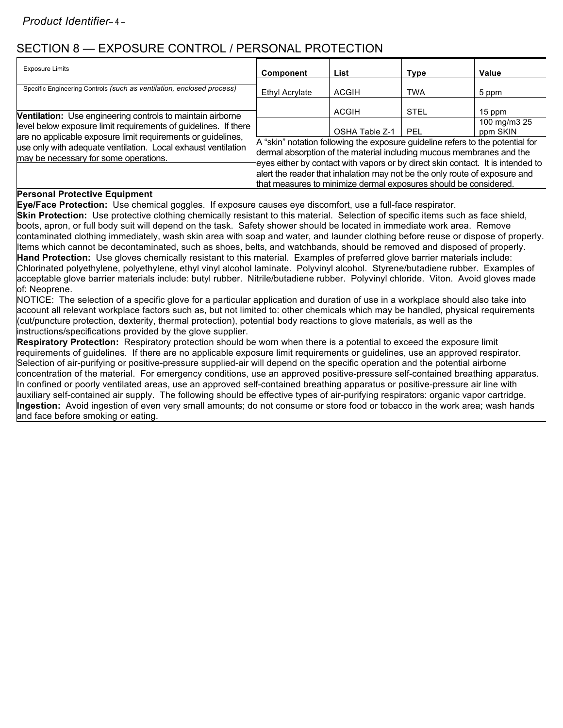## SECTION 8 — EXPOSURE CONTROL / PERSONAL PROTECTION

| <b>Exposure Limits</b>                                                                                                                                                                                                                    | Component                                                                                                                                                                                                                                 | List                                                                                                                                           | <b>Type</b> | Value                    |
|-------------------------------------------------------------------------------------------------------------------------------------------------------------------------------------------------------------------------------------------|-------------------------------------------------------------------------------------------------------------------------------------------------------------------------------------------------------------------------------------------|------------------------------------------------------------------------------------------------------------------------------------------------|-------------|--------------------------|
| Specific Engineering Controls (such as ventilation, enclosed process)                                                                                                                                                                     | Ethyl Acrylate                                                                                                                                                                                                                            | <b>ACGIH</b>                                                                                                                                   | <b>TWA</b>  | 5 ppm                    |
| Ventilation: Use engineering controls to maintain airborne                                                                                                                                                                                |                                                                                                                                                                                                                                           | <b>ACGIH</b>                                                                                                                                   | <b>STEL</b> | 15 ppm                   |
| level below exposure limit requirements of guidelines. If there<br>are no applicable exposure limit requirements or quidelines,<br>use only with adequate ventilation. Local exhaust ventilation<br>may be necessary for some operations. |                                                                                                                                                                                                                                           | OSHA Table Z-1                                                                                                                                 | PFL         | 100 mg/m3 25<br>ppm SKIN |
|                                                                                                                                                                                                                                           | A "skin" notation following the exposure guideline refers to the potential for<br>dermal absorption of the material including mucous membranes and the<br>eyes either by contact with vapors or by direct skin contact. It is intended to |                                                                                                                                                |             |                          |
|                                                                                                                                                                                                                                           |                                                                                                                                                                                                                                           | alert the reader that inhalation may not be the only route of exposure and<br>that measures to minimize dermal exposures should be considered. |             |                          |

### **Personal Protective Equipment**

**Eye/Face Protection:** Use chemical goggles. If exposure causes eye discomfort, use a full-face respirator.

**Skin Protection:** Use protective clothing chemically resistant to this material. Selection of specific items such as face shield, boots, apron, or full body suit will depend on the task. Safety shower should be located in immediate work area. Remove contaminated clothing immediately, wash skin area with soap and water, and launder clothing before reuse or dispose of properly. Items which cannot be decontaminated, such as shoes, belts, and watchbands, should be removed and disposed of properly. **Hand Protection:** Use gloves chemically resistant to this material. Examples of preferred glove barrier materials include: Chlorinated polyethylene, polyethylene, ethyl vinyl alcohol laminate. Polyvinyl alcohol. Styrene/butadiene rubber. Examples of acceptable glove barrier materials include: butyl rubber. Nitrile/butadiene rubber. Polyvinyl chloride. Viton. Avoid gloves made of: Neoprene.

NOTICE: The selection of a specific glove for a particular application and duration of use in a workplace should also take into account all relevant workplace factors such as, but not limited to: other chemicals which may be handled, physical requirements (cut/puncture protection, dexterity, thermal protection), potential body reactions to glove materials, as well as the instructions/specifications provided by the glove supplier.

**Respiratory Protection:** Respiratory protection should be worn when there is a potential to exceed the exposure limit requirements of guidelines. If there are no applicable exposure limit requirements or guidelines, use an approved respirator. Selection of air-purifying or positive-pressure supplied-air will depend on the specific operation and the potential airborne concentration of the material. For emergency conditions, use an approved positive-pressure self-contained breathing apparatus. In confined or poorly ventilated areas, use an approved self-contained breathing apparatus or positive-pressure air line with auxiliary self-contained air supply. The following should be effective types of air-purifying respirators: organic vapor cartridge. **Ingestion:** Avoid ingestion of even very small amounts; do not consume or store food or tobacco in the work area; wash hands and face before smoking or eating.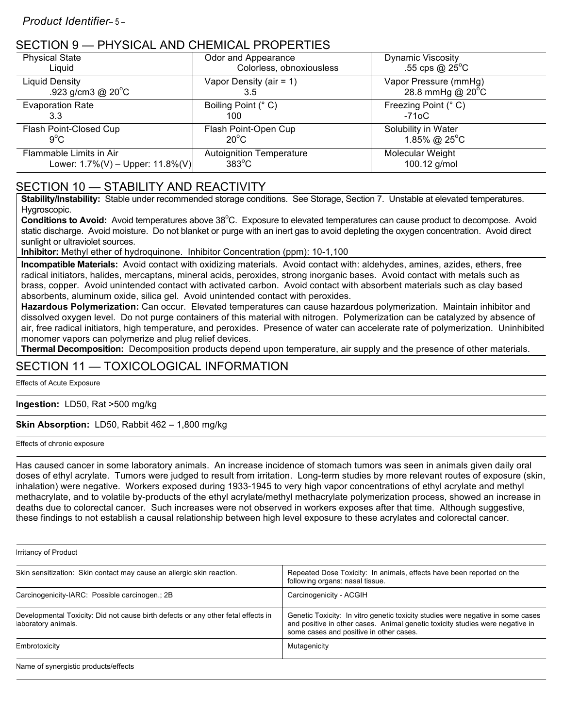### SECTION 9 — PHYSICAL AND CHEMICAL PROPERTIES

| <b>Physical State</b>                | Odor and Appearance             | <b>Dynamic Viscosity</b>    |
|--------------------------------------|---------------------------------|-----------------------------|
| Liquid                               | Colorless, obnoxiousless        | .55 cps $@$ 25 $^{\circ}$ C |
| Liquid Density                       | Vapor Density (air = $1$ )      | Vapor Pressure (mmHg)       |
| .923 g/cm3 @ $20^{\circ}$ C          | 3.5                             | 28.8 mmHg @ $20^{\circ}$ C  |
| <b>Evaporation Rate</b>              | Boiling Point (° C)             | Freezing Point (° C)        |
| 3.3                                  | 100                             | -71oC                       |
| Flash Point-Closed Cup               | Flash Point-Open Cup            | Solubility in Water         |
| $9^{\circ}$ C                        | $20^{\circ}$ C                  | 1.85% @ $25^{\circ}$ C      |
| Flammable Limits in Air              | <b>Autoignition Temperature</b> | Molecular Weight            |
| Lower: $1.7\%(V) - Upper: 11.8\%(V)$ | $383^{\circ}$ C                 | 100.12 g/mol                |

## SECTION 10 — STABILITY AND REACTIVITY

**Stability/Instability:** Stable under recommended storage conditions. See Storage, Section 7. Unstable at elevated temperatures. Hygroscopic.

Conditions to Avoid: Avoid temperatures above 38°C. Exposure to elevated temperatures can cause product to decompose. Avoid static discharge. Avoid moisture. Do not blanket or purge with an inert gas to avoid depleting the oxygen concentration. Avoid direct sunlight or ultraviolet sources.

**Inhibitor:** Methyl ether of hydroquinone. Inhibitor Concentration (ppm): 10-1,100

**Incompatible Materials:** Avoid contact with oxidizing materials. Avoid contact with: aldehydes, amines, azides, ethers, free radical initiators, halides, mercaptans, mineral acids, peroxides, strong inorganic bases. Avoid contact with metals such as brass, copper. Avoid unintended contact with activated carbon. Avoid contact with absorbent materials such as clay based absorbents, aluminum oxide, silica gel. Avoid unintended contact with peroxides.

**Hazardous Polymerization:** Can occur. Elevated temperatures can cause hazardous polymerization. Maintain inhibitor and dissolved oxygen level. Do not purge containers of this material with nitrogen. Polymerization can be catalyzed by absence of air, free radical initiators, high temperature, and peroxides. Presence of water can accelerate rate of polymerization. Uninhibited monomer vapors can polymerize and plug relief devices.

**Thermal Decomposition:** Decomposition products depend upon temperature, air supply and the presence of other materials.

## SECTION 11 — TOXICOLOGICAL INFORMATION

Effects of Acute Exposure

### **Ingestion:** LD50, Rat >500 mg/kg

**Skin Absorption:** LD50, Rabbit 462 – 1,800 mg/kg

Effects of chronic exposure

Has caused cancer in some laboratory animals. An increase incidence of stomach tumors was seen in animals given daily oral doses of ethyl acrylate. Tumors were judged to result from irritation. Long-term studies by more relevant routes of exposure (skin, inhalation) were negative. Workers exposed during 1933-1945 to very high vapor concentrations of ethyl acrylate and methyl methacrylate, and to volatile by-products of the ethyl acrylate/methyl methacrylate polymerization process, showed an increase in deaths due to colorectal cancer. Such increases were not observed in workers exposes after that time. Although suggestive, these findings to not establish a causal relationship between high level exposure to these acrylates and colorectal cancer.

Irritancy of Product

| Skin sensitization: Skin contact may cause an allergic skin reaction.                                    | Repeated Dose Toxicity: In animals, effects have been reported on the<br>following organs: nasal tissue.                                                                                                    |
|----------------------------------------------------------------------------------------------------------|-------------------------------------------------------------------------------------------------------------------------------------------------------------------------------------------------------------|
| Carcinogenicity-IARC: Possible carcinogen.; 2B                                                           | Carcinogenicity - ACGIH                                                                                                                                                                                     |
| Developmental Toxicity: Did not cause birth defects or any other fetal effects in<br>laboratory animals. | Genetic Toxicity: In vitro genetic toxicity studies were negative in some cases<br>and positive in other cases. Animal genetic toxicity studies were negative in<br>some cases and positive in other cases. |
| Embrotoxicity                                                                                            | Mutagenicity                                                                                                                                                                                                |
| Name of synergistic products/effects                                                                     |                                                                                                                                                                                                             |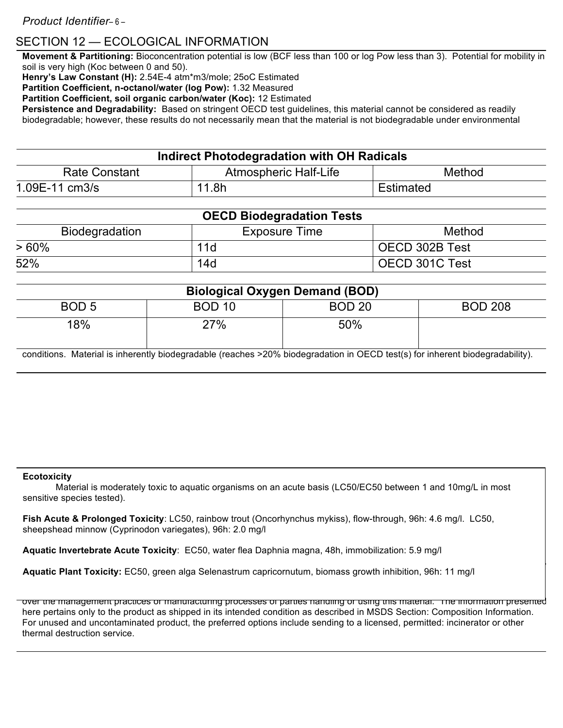## SECTION 12 — ECOLOGICAL INFORMATION

**Movement & Partitioning:** Bioconcentration potential is low (BCF less than 100 or log Pow less than 3). Potential for mobility in soil is very high (Koc between 0 and 50).

**Henry's Law Constant (H):** 2.54E-4 atm\*m3/mole; 25oC Estimated

**Partition Coefficient, n-octanol/water (log Pow):** 1.32 Measured

**Partition Coefficient, soil organic carbon/water (Koc):** 12 Estimated

**Persistence and Degradability:** Based on stringent OECD test guidelines, this material cannot be considered as readily biodegradable; however, these results do not necessarily mean that the material is not biodegradable under environmental

| Indirect Photodegradation with OH Radicals |                       |           |  |
|--------------------------------------------|-----------------------|-----------|--|
| <b>Rate Constant</b>                       | Atmospheric Half-Life | Method    |  |
| 1.09E-11 cm3/s                             | 11.8h                 | Estimated |  |

| <b>OECD Biodegradation Tests</b> |                      |                |  |
|----------------------------------|----------------------|----------------|--|
| Biodegradation                   | <b>Exposure Time</b> | Method         |  |
| >60%                             | 11d                  | OECD 302B Test |  |
| 52%                              | 14d                  | OECD 301C Test |  |

| <b>Biological Oxygen Demand (BOD)</b>                                                                                         |               |               |                |
|-------------------------------------------------------------------------------------------------------------------------------|---------------|---------------|----------------|
| BOD <sub>5</sub>                                                                                                              | <b>BOD 10</b> | <b>BOD 20</b> | <b>BOD 208</b> |
| 18%                                                                                                                           | 27%           | 50%           |                |
| conditions. Material is inherently biodegradable (reaches >20% biodegradation in OECD test(s) for inherent biodegradability). |               |               |                |

### **Ecotoxicity**

Material is moderately toxic to aquatic organisms on an acute basis (LC50/EC50 between 1 and 10mg/L in most sensitive species tested).

**Fish Acute & Prolonged Toxicity**: LC50, rainbow trout (Oncorhynchus mykiss), flow-through, 96h: 4.6 mg/l. LC50, sheepshead minnow (Cyprinodon variegates), 96h: 2.0 mg/l

**Aquatic Invertebrate Acute Toxicity**: EC50, water flea Daphnia magna, 48h, immobilization: 5.9 mg/l

Aquatic Plant Toxicity: EC50, green alga Selenastrum capricornutum, biomass growth inhibition, 96h: 11 mg/l compliance with all federal, state/provincial and local laws and regulations. Regulations may vary in different locations. Waste

over the management practices or manufacturing processes of parties handling or using this material. The information presented here pertains only to the product as shipped in its intended condition as described in MSDS Section: Composition Information. For unused and uncontaminated product, the preferred options include sending to a licensed, permitted: incinerator or other thermal destruction service.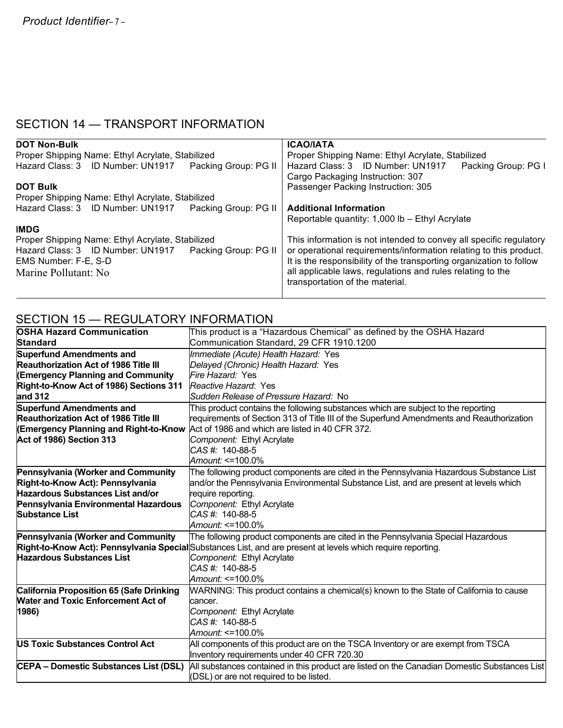## SECTION 14 — TRANSPORT INFORMATION

| <b>DOT Non-Bulk</b>                                       | <b>ICAO/IATA</b>                                                    |  |  |
|-----------------------------------------------------------|---------------------------------------------------------------------|--|--|
| Proper Shipping Name: Ethyl Acrylate, Stabilized          | Proper Shipping Name: Ethyl Acrylate, Stabilized                    |  |  |
| Hazard Class: 3 ID Number: UN1917<br>Packing Group: PG II | Hazard Class: 3 ID Number: UN1917<br>Packing Group: PG I            |  |  |
|                                                           | Cargo Packaging Instruction: 307                                    |  |  |
| <b>DOT Bulk</b>                                           | Passenger Packing Instruction: 305                                  |  |  |
| Proper Shipping Name: Ethyl Acrylate, Stabilized          |                                                                     |  |  |
| Hazard Class: 3 ID Number: UN1917<br>Packing Group: PG II | <b>Additional Information</b>                                       |  |  |
|                                                           | Reportable quantity: 1,000 lb - Ethyl Acrylate                      |  |  |
| <b>IMDG</b>                                               |                                                                     |  |  |
| Proper Shipping Name: Ethyl Acrylate, Stabilized          | This information is not intended to convey all specific regulatory  |  |  |
| Hazard Class: 3 ID Number: UN1917<br>Packing Group: PG II | or operational requirements/information relating to this product.   |  |  |
| EMS Number: F-E, S-D                                      | It is the responsibility of the transporting organization to follow |  |  |
| Marine Pollutant: No                                      | all applicable laws, regulations and rules relating to the          |  |  |
|                                                           | transportation of the material.                                     |  |  |
|                                                           |                                                                     |  |  |

## SECTION 15 — REGULATORY INFORMATION

| <b>OSHA Hazard Communication</b>                | This product is a "Hazardous Chemical" as defined by the OSHA Hazard                                         |  |  |
|-------------------------------------------------|--------------------------------------------------------------------------------------------------------------|--|--|
| <b>Standard</b>                                 | Communication Standard, 29 CFR 1910.1200                                                                     |  |  |
| <b>Superfund Amendments and</b>                 | Immediate (Acute) Health Hazard: Yes                                                                         |  |  |
| <b>Reauthorization Act of 1986 Title III</b>    | Delayed (Chronic) Health Hazard: Yes                                                                         |  |  |
| <b>(Emergency Planning and Community</b>        | Fire Hazard: Yes                                                                                             |  |  |
| Right-to-Know Act of 1986) Sections 311         | Reactive Hazard: Yes                                                                                         |  |  |
| and 312                                         | Sudden Release of Pressure Hazard: No                                                                        |  |  |
| <b>Superfund Amendments and</b>                 | This product contains the following substances which are subject to the reporting                            |  |  |
| <b>Reauthorization Act of 1986 Title III</b>    | requirements of Section 313 of Title III of the Superfund Amendments and Reauthorization                     |  |  |
| <b>(Emergency Planning and Right-to-Know</b>    | Act of 1986 and which are listed in 40 CFR 372.                                                              |  |  |
| Act of 1986) Section 313                        | Component: Ethyl Acrylate                                                                                    |  |  |
|                                                 | CAS#: 140-88-5                                                                                               |  |  |
|                                                 | Amount: <=100.0%                                                                                             |  |  |
| <b>Pennsylvania (Worker and Community</b>       | The following product components are cited in the Pennsylvania Hazardous Substance List                      |  |  |
| Right-to-Know Act): Pennsylvania                | and/or the Pennsylvania Environmental Substance List, and are present at levels which                        |  |  |
| <b>Hazardous Substances List and/or</b>         | require reporting.                                                                                           |  |  |
| Pennsylvania Environmental Hazardous            | Component: Ethyl Acrylate                                                                                    |  |  |
| <b>Substance List</b>                           | $CAS #: 140-88-5$                                                                                            |  |  |
|                                                 | Amount: <=100.0%                                                                                             |  |  |
| <b>Pennsylvania (Worker and Community</b>       | The following product components are cited in the Pennsylvania Special Hazardous                             |  |  |
|                                                 | Right-to-Know Act): Pennsylvania Special Substances List, and are present at levels which require reporting. |  |  |
| <b>Hazardous Substances List</b>                | Component: Ethyl Acrylate                                                                                    |  |  |
|                                                 | CAS#: 140-88-5                                                                                               |  |  |
|                                                 | Amount: <=100.0%                                                                                             |  |  |
| <b>California Proposition 65 (Safe Drinking</b> | WARNING: This product contains a chemical(s) known to the State of California to cause                       |  |  |
| <b>Water and Toxic Enforcement Act of</b>       | cancer.                                                                                                      |  |  |
| 1986)                                           | Component: Ethyl Acrylate                                                                                    |  |  |
|                                                 | CAS#: 140-88-5                                                                                               |  |  |
|                                                 | Amount: <=100.0%                                                                                             |  |  |
| <b>US Toxic Substances Control Act</b>          | All components of this product are on the TSCA Inventory or are exempt from TSCA                             |  |  |
|                                                 | Inventory requirements under 40 CFR 720.30                                                                   |  |  |
| <b>CEPA - Domestic Substances List (DSL)</b>    | All substances contained in this product are listed on the Canadian Domestic Substances List                 |  |  |
|                                                 | (DSL) or are not required to be listed.                                                                      |  |  |